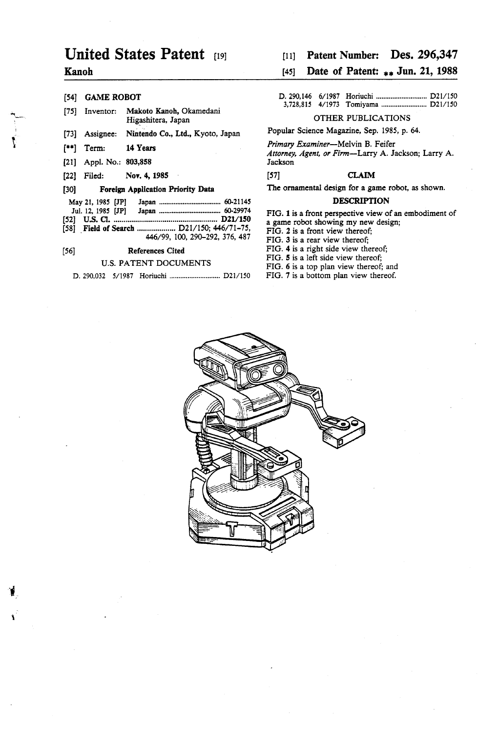# United States Patent [19]

### Kanoh

|         | [54] GAME ROBOT           |                                                                             |                                                                                                                                                                    |  |              |  |  |
|---------|---------------------------|-----------------------------------------------------------------------------|--------------------------------------------------------------------------------------------------------------------------------------------------------------------|--|--------------|--|--|
| [75]    | Inventor:                 | Makoto Kanoh, Okamedani<br>Higashitera, Japan                               | OTHER PUBLICATIONS                                                                                                                                                 |  |              |  |  |
| $[73]$  | Assignee:                 | Nintendo Co., Ltd., Kyoto, Japan                                            | Popular Science Magazine, Sep. 1985, p. 64.                                                                                                                        |  |              |  |  |
| $[$ **] | Term:                     | 14 Years                                                                    | <i>Primary Examiner</i> —Melvin B. Feifer<br>Attorney, Agent, or Firm-Larry A. Jackson; Larry A.                                                                   |  |              |  |  |
|         | $[21]$ Appl. No.: 803,858 |                                                                             | Jackson                                                                                                                                                            |  |              |  |  |
| $[22]$  | Filed:                    | Nov. 4, 1985                                                                | $[57]$                                                                                                                                                             |  | <b>CLAIM</b> |  |  |
| [30]    |                           | <b>Foreign Application Priority Data</b>                                    | The ornamental design for a game robot, as shown.                                                                                                                  |  |              |  |  |
|         | May 21, 1985 [JP]         |                                                                             | <b>DESCRIPTION</b>                                                                                                                                                 |  |              |  |  |
|         |                           | [58] Field of Search  D21/150; 446/71-75,<br>446/99, 100, 290-292, 376, 487 | FIG. 1 is a front perspective view of an embodiment of<br>a game robot showing my new design;<br>FIG. 2 is a front view thereof:<br>FIG. 3 is a rear view thereof: |  |              |  |  |
| [56]    |                           | <b>References Cited</b>                                                     | FIG. 4 is a right side view thereof.                                                                                                                               |  |              |  |  |
|         |                           | <b>U.S. PATENT DOCUMENTS</b>                                                | FIG. 5 is a left side view thereof:<br>$FIG. 6$ is a top plan view thereof and                                                                                     |  |              |  |  |

## [11] Patent Number: Des. 296,347

## [45] Date of Patent: \*\* Jun. 21, 1988

| - - - - | [54] GAME ROBOT |  |  |  |  |  |  |  |
|---------|-----------------|--|--|--|--|--|--|--|
|         |                 |  |  |  |  |  |  |  |

#### 5 **DESCRIPTION**

FIG. 6 is a top plan view thereof; and

FIG. 7 is a bottom plan view thereof.

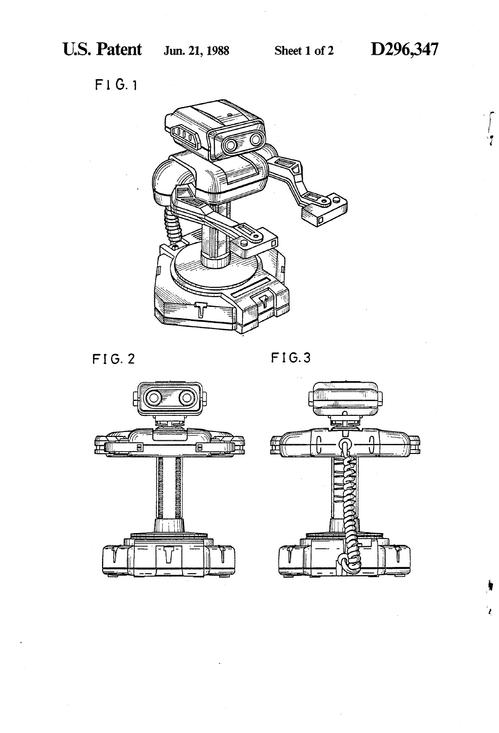$\int$ 

 $\mathbf{i}$ 

F1 G. 1